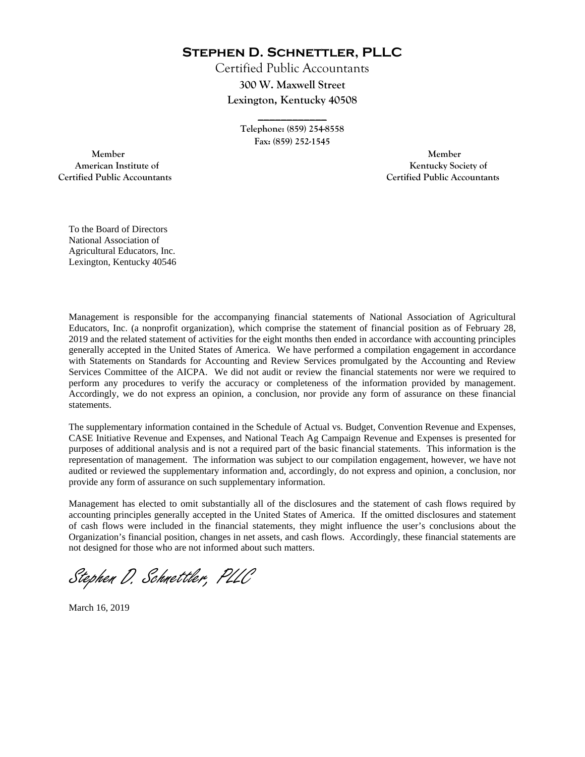**Stephen D. Schnettler, PLLC**

Certified Public Accountants **300 W. Maxwell Street Lexington, Kentucky 40508** 

> **Telephone: (859) 254-8558 Fax: (859) 252-1545**

**\_\_\_\_\_\_\_\_\_\_\_\_** 

 **Member Member Certified Public Accountants Certified Public Accountants** 

American Institute of **Kentucky Society of** 

To the Board of Directors National Association of Agricultural Educators, Inc. Lexington, Kentucky 40546

Management is responsible for the accompanying financial statements of National Association of Agricultural Educators, Inc. (a nonprofit organization), which comprise the statement of financial position as of February 28, 2019 and the related statement of activities for the eight months then ended in accordance with accounting principles generally accepted in the United States of America. We have performed a compilation engagement in accordance with Statements on Standards for Accounting and Review Services promulgated by the Accounting and Review Services Committee of the AICPA. We did not audit or review the financial statements nor were we required to perform any procedures to verify the accuracy or completeness of the information provided by management. Accordingly, we do not express an opinion, a conclusion, nor provide any form of assurance on these financial statements.

The supplementary information contained in the Schedule of Actual vs. Budget, Convention Revenue and Expenses, CASE Initiative Revenue and Expenses, and National Teach Ag Campaign Revenue and Expenses is presented for purposes of additional analysis and is not a required part of the basic financial statements. This information is the representation of management. The information was subject to our compilation engagement, however, we have not audited or reviewed the supplementary information and, accordingly, do not express and opinion, a conclusion, nor provide any form of assurance on such supplementary information.

Management has elected to omit substantially all of the disclosures and the statement of cash flows required by accounting principles generally accepted in the United States of America. If the omitted disclosures and statement of cash flows were included in the financial statements, they might influence the user's conclusions about the Organization's financial position, changes in net assets, and cash flows. Accordingly, these financial statements are not designed for those who are not informed about such matters.

Stephen D. Schnettler, PLLC

March 16, 2019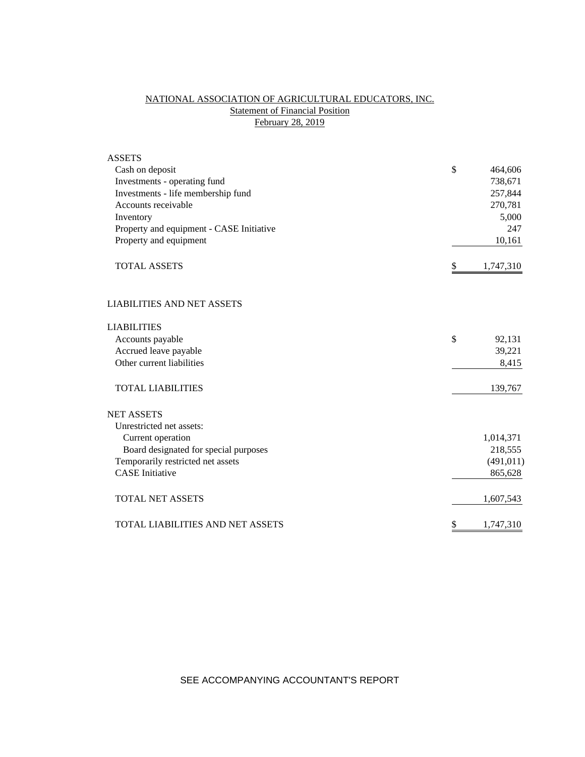# NATIONAL ASSOCIATION OF AGRICULTURAL EDUCATORS, INC. **Statement of Financial Position** February 28, 2019

| <b>ASSETS</b>                            |                 |
|------------------------------------------|-----------------|
| Cash on deposit                          | \$<br>464,606   |
| Investments - operating fund             | 738,671         |
| Investments - life membership fund       | 257,844         |
| Accounts receivable                      | 270,781         |
| Inventory                                | 5,000           |
| Property and equipment - CASE Initiative | 247             |
| Property and equipment                   | 10,161          |
| <b>TOTAL ASSETS</b>                      | \$<br>1,747,310 |
| <b>LIABILITIES AND NET ASSETS</b>        |                 |
| <b>LIABILITIES</b>                       |                 |
| Accounts payable                         | \$<br>92,131    |
| Accrued leave payable                    | 39,221          |
| Other current liabilities                | 8,415           |
| <b>TOTAL LIABILITIES</b>                 | 139,767         |
| <b>NET ASSETS</b>                        |                 |
| Unrestricted net assets:                 |                 |
| Current operation                        | 1,014,371       |
| Board designated for special purposes    | 218,555         |
| Temporarily restricted net assets        | (491, 011)      |
| <b>CASE</b> Initiative                   | 865,628         |
| <b>TOTAL NET ASSETS</b>                  | 1,607,543       |
| TOTAL LIABILITIES AND NET ASSETS         | \$<br>1,747,310 |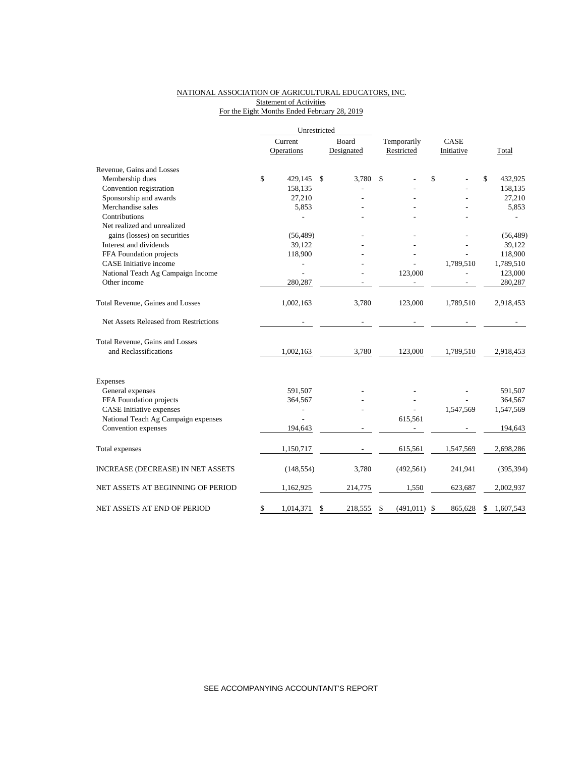### NATIONAL ASSOCIATION OF AGRICULTURAL EDUCATORS, INC. Statement of Activities For the Eight Months Ended February 28, 2019

|                                        | Unrestricted |            |               |                              |             |            |      |            |                 |
|----------------------------------------|--------------|------------|---------------|------------------------------|-------------|------------|------|------------|-----------------|
|                                        |              | Current    |               | Board                        | Temporarily |            | CASE |            |                 |
|                                        |              | Operations |               | Designated                   | Restricted  |            |      | Initiative | Total           |
| Revenue, Gains and Losses              |              |            |               |                              |             |            |      |            |                 |
| Membership dues                        | \$           | 429,145    | <sup>\$</sup> | 3.780                        | \$          |            | \$   |            | \$<br>432,925   |
| Convention registration                |              | 158,135    |               |                              |             |            |      |            | 158,135         |
| Sponsorship and awards                 |              | 27,210     |               |                              |             |            |      |            | 27,210          |
| Merchandise sales                      |              | 5,853      |               |                              |             |            |      |            | 5,853           |
| Contributions                          |              |            |               |                              |             |            |      |            |                 |
| Net realized and unrealized            |              |            |               |                              |             |            |      |            |                 |
| gains (losses) on securities           |              | (56, 489)  |               |                              |             |            |      |            | (56, 489)       |
| Interest and dividends                 |              | 39,122     |               |                              |             |            |      |            | 39,122          |
| FFA Foundation projects                |              | 118,900    |               |                              |             |            |      |            | 118,900         |
| <b>CASE</b> Initiative income          |              |            |               |                              |             |            |      | 1,789,510  | 1,789,510       |
| National Teach Ag Campaign Income      |              |            |               |                              |             | 123,000    |      |            | 123,000         |
| Other income                           |              | 280,287    |               |                              |             |            |      |            | 280,287         |
| Total Revenue, Gaines and Losses       |              | 1,002,163  |               | 3,780                        |             | 123,000    |      | 1,789,510  | 2,918,453       |
| Net Assets Released from Restrictions  |              |            |               | $\qquad \qquad \blacksquare$ |             |            |      |            |                 |
| <b>Total Revenue, Gains and Losses</b> |              |            |               |                              |             |            |      |            |                 |
| and Reclassifications                  |              | 1,002,163  |               | 3,780                        |             | 123,000    |      | 1,789,510  | 2,918,453       |
| Expenses                               |              |            |               |                              |             |            |      |            |                 |
| General expenses                       |              | 591,507    |               |                              |             |            |      |            | 591,507         |
| FFA Foundation projects                |              | 364,567    |               |                              |             |            |      |            | 364,567         |
| <b>CASE</b> Initiative expenses        |              | ÷,         |               |                              |             |            |      | 1,547,569  | 1,547,569       |
| National Teach Ag Campaign expenses    |              |            |               |                              |             | 615,561    |      |            |                 |
| Convention expenses                    |              | 194,643    |               |                              |             |            |      |            | 194,643         |
| Total expenses                         |              | 1,150,717  |               |                              |             | 615,561    |      | 1,547,569  | 2,698,286       |
| INCREASE (DECREASE) IN NET ASSETS      |              | (148, 554) |               | 3,780                        |             | (492, 561) |      | 241,941    | (395, 394)      |
| NET ASSETS AT BEGINNING OF PERIOD      |              | 1,162,925  |               | 214,775                      |             | 1,550      |      | 623,687    | 2,002,937       |
| NET ASSETS AT END OF PERIOD            | \$           | 1,014,371  | \$            | 218,555                      | \$          | (491, 011) | \$   | 865,628    | \$<br>1,607,543 |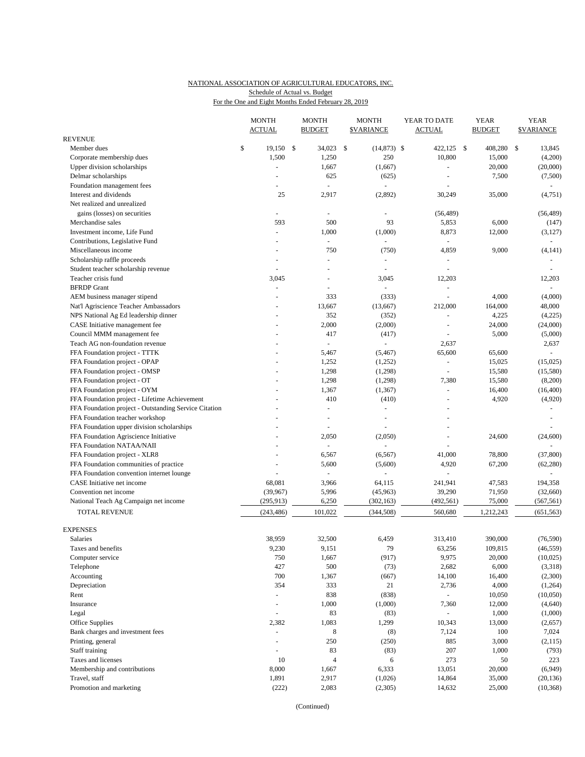### NATIONAL ASSOCIATION OF AGRICULTURAL EDUCATORS, INC. For the One and Eight Months Ended February 28, 2019 Schedule of Actual vs. Budget

|                                                       |    | <b>MONTH</b><br><b>ACTUAL</b>   |  | <b>MONTH</b><br><b>BUDGET</b> |     | <b>MONTH</b><br><b><i>SVARIANCE</i></b> |  | YEAR TO DATE<br><b>ACTUAL</b> |  | <b>YEAR</b><br><b>BUDGET</b> | <b>YEAR</b><br><b><i>SVARIANCE</i></b> |                   |
|-------------------------------------------------------|----|---------------------------------|--|-------------------------------|-----|-----------------------------------------|--|-------------------------------|--|------------------------------|----------------------------------------|-------------------|
| REVENUE                                               |    |                                 |  |                               |     |                                         |  |                               |  |                              |                                        |                   |
| Member dues                                           | \$ | $19,150$ \$                     |  | 34,023                        | -\$ | $(14,873)$ \$                           |  | 422,125 \$                    |  | 408,280                      | -S                                     | 13,845            |
| Corporate membership dues                             |    | 1,500                           |  | 1,250                         |     | 250                                     |  | 10,800                        |  | 15,000                       |                                        | (4,200)           |
| Upper division scholarships                           |    |                                 |  | 1,667                         |     | (1,667)                                 |  |                               |  | 20,000                       |                                        | (20,000)          |
| Delmar scholarships                                   |    |                                 |  | 625                           |     | (625)                                   |  |                               |  | 7,500                        |                                        | (7,500)           |
| Foundation management fees                            |    |                                 |  | $\omega$                      |     | ä,                                      |  |                               |  |                              |                                        |                   |
| Interest and dividends                                |    | 25                              |  | 2,917                         |     | (2,892)                                 |  | 30,249                        |  | 35,000                       |                                        | (4,751)           |
| Net realized and unrealized                           |    |                                 |  |                               |     |                                         |  |                               |  |                              |                                        |                   |
| gains (losses) on securities                          |    | $\overline{\phantom{a}}$<br>593 |  | ÷.                            |     |                                         |  | (56, 489)                     |  |                              |                                        | (56, 489)         |
| Merchandise sales<br>Investment income, Life Fund     |    | $\blacksquare$                  |  | 500<br>1,000                  |     | 93<br>(1,000)                           |  | 5,853<br>8,873                |  | 6,000<br>12,000              |                                        | (147)<br>(3, 127) |
| Contributions, Legislative Fund                       |    |                                 |  | $\omega$                      |     | ÷,                                      |  | $\sim$                        |  |                              |                                        | $\blacksquare$    |
| Miscellaneous income                                  |    |                                 |  | 750                           |     | (750)                                   |  | 4,859                         |  | 9,000                        |                                        | (4, 141)          |
| Scholarship raffle proceeds                           |    | ä,                              |  | $\overline{\phantom{a}}$      |     | ÷,                                      |  |                               |  |                              |                                        |                   |
| Student teacher scholarship revenue                   |    |                                 |  |                               |     |                                         |  |                               |  |                              |                                        |                   |
| Teacher crisis fund                                   |    | 3,045                           |  | $\overline{a}$                |     | 3,045                                   |  | 12,203                        |  |                              |                                        | 12,203            |
| <b>BFRDP</b> Grant                                    |    |                                 |  |                               |     |                                         |  |                               |  |                              |                                        |                   |
| AEM business manager stipend                          |    |                                 |  | 333                           |     | (333)                                   |  | L,                            |  | 4,000                        |                                        | (4,000)           |
| Nat'l Agriscience Teacher Ambassadors                 |    |                                 |  | 13,667                        |     | (13,667)                                |  | 212,000                       |  | 164,000                      |                                        | 48,000            |
| NPS National Ag Ed leadership dinner                  |    |                                 |  | 352                           |     | (352)                                   |  |                               |  | 4,225                        |                                        | (4,225)           |
| CASE Initiative management fee                        |    |                                 |  | 2,000                         |     | (2,000)                                 |  |                               |  | 24,000                       |                                        | (24,000)          |
| Council MMM management fee                            |    |                                 |  | 417                           |     | (417)                                   |  |                               |  | 5,000                        |                                        | (5,000)           |
| Teach AG non-foundation revenue                       |    |                                 |  | $\blacksquare$                |     | ÷,                                      |  | 2,637                         |  |                              |                                        | 2,637             |
| FFA Foundation project - TTTK                         |    |                                 |  | 5,467                         |     | (5, 467)                                |  | 65,600                        |  | 65,600                       |                                        |                   |
| FFA Foundation project - OPAP                         |    |                                 |  | 1,252                         |     | (1,252)                                 |  |                               |  | 15,025                       |                                        | (15,025)          |
| FFA Foundation project - OMSP                         |    |                                 |  | 1,298                         |     | (1,298)                                 |  | ÷                             |  | 15,580                       |                                        | (15,580)          |
| FFA Foundation project - OT                           |    |                                 |  | 1,298                         |     | (1,298)                                 |  | 7,380                         |  | 15,580                       |                                        | (8,200)           |
| FFA Foundation project - OYM                          |    |                                 |  | 1,367                         |     | (1, 367)                                |  | $\sim$                        |  | 16,400                       |                                        | (16, 400)         |
| FFA Foundation project - Lifetime Achievement         |    |                                 |  | 410                           |     | (410)                                   |  |                               |  | 4,920                        |                                        | (4,920)           |
| FFA Foundation project - Outstanding Service Citation |    |                                 |  | ÷                             |     | $\sim$                                  |  |                               |  |                              |                                        |                   |
| FFA Foundation teacher workshop                       |    |                                 |  | L,                            |     |                                         |  |                               |  |                              |                                        |                   |
| FFA Foundation upper division scholarships            |    |                                 |  | $\sim$                        |     |                                         |  | $\overline{\phantom{a}}$      |  |                              |                                        |                   |
| FFA Foundation Agriscience Initiative                 |    |                                 |  | 2,050                         |     | (2,050)                                 |  |                               |  | 24,600                       |                                        | (24, 600)         |
| FFA Foundation NATAA/NAII                             |    |                                 |  | $\overline{\phantom{a}}$      |     |                                         |  |                               |  |                              |                                        |                   |
| FFA Foundation project - XLR8                         |    |                                 |  | 6,567                         |     | (6, 567)                                |  | 41,000                        |  | 78,800                       |                                        | (37, 800)         |
| FFA Foundation communities of practice                |    |                                 |  | 5,600                         |     | (5,600)                                 |  | 4,920                         |  | 67,200                       |                                        | (62, 280)         |
| FFA Foundation convention internet lounge             |    |                                 |  | $\overline{\phantom{a}}$      |     |                                         |  |                               |  |                              |                                        |                   |
| CASE Initiative net income                            |    | 68,081                          |  | 3,966                         |     | 64,115                                  |  | 241,941                       |  | 47,583                       |                                        | 194,358           |
| Convention net income                                 |    | (39, 967)                       |  | 5,996                         |     | (45,963)                                |  | 39,290                        |  | 71,950                       |                                        | (32,660)          |
| National Teach Ag Campaign net income                 |    | (295, 913)                      |  | 6,250                         |     | (302, 163)                              |  | (492, 561)                    |  | 75,000                       |                                        | (567, 561)        |
| <b>TOTAL REVENUE</b>                                  |    | (243, 486)                      |  | 101,022                       |     | (344, 508)                              |  | 560,680                       |  | 1,212,243                    |                                        | (651, 563)        |
| <b>EXPENSES</b>                                       |    |                                 |  |                               |     |                                         |  |                               |  |                              |                                        |                   |
| Salaries                                              |    | 38,959                          |  | 32,500                        |     | 6,459                                   |  | 313,410                       |  | 390,000                      |                                        | (76, 590)         |
| Taxes and benefits                                    |    | 9,230                           |  | 9,151                         |     | 79                                      |  | 63,256                        |  | 109,815                      |                                        | (46, 559)         |
| Computer service                                      |    | 750                             |  | 1,667                         |     | (917)                                   |  | 9,975                         |  | 20,000                       |                                        | (10,025)          |
| Telephone                                             |    | 427                             |  | 500                           |     | (73)                                    |  | 2,682                         |  | 6,000                        |                                        | (3,318)           |
| Accounting                                            |    | 700                             |  | 1,367                         |     | (667)                                   |  | 14,100                        |  | 16,400                       |                                        | (2,300)           |
| Depreciation                                          |    | 354                             |  | 333                           |     | 21                                      |  | 2,736                         |  | 4,000                        |                                        | (1,264)           |
| Rent                                                  |    | ä,                              |  | 838                           |     | (838)                                   |  | $\equiv$                      |  | 10,050                       |                                        | (10,050)          |
| Insurance                                             |    | $\overline{\phantom{a}}$        |  | 1,000                         |     | (1,000)                                 |  | 7,360                         |  | 12,000                       |                                        | (4,640)           |
| Legal                                                 |    |                                 |  | 83                            |     | (83)                                    |  | $\sim$                        |  | 1,000                        |                                        | (1,000)           |
| Office Supplies                                       |    | 2,382                           |  | 1,083                         |     | 1,299                                   |  | 10,343                        |  | 13,000                       |                                        | (2,657)           |
| Bank charges and investment fees                      |    |                                 |  | 8                             |     | (8)                                     |  | 7,124                         |  | 100                          |                                        | 7,024             |
| Printing, general                                     |    | ä,                              |  | 250                           |     | (250)                                   |  | 885                           |  | 3,000                        |                                        | (2, 115)          |
| Staff training                                        |    | ä,                              |  | 83                            |     | (83)                                    |  | 207                           |  | 1,000                        |                                        | (793)             |
| Taxes and licenses                                    |    | 10                              |  | $\overline{4}$                |     | 6                                       |  | 273                           |  | 50                           |                                        | 223               |
| Membership and contributions                          |    | 8,000                           |  | 1,667                         |     | 6,333                                   |  | 13,051                        |  | 20,000                       |                                        | (6,949)           |
| Travel, staff                                         |    | 1,891                           |  | 2,917                         |     | (1,026)                                 |  | 14,864                        |  | 35,000                       |                                        | (20, 136)         |
| Promotion and marketing                               |    | (222)                           |  | 2,083                         |     | (2,305)                                 |  | 14,632                        |  | 25,000                       |                                        | (10, 368)         |

(Continued)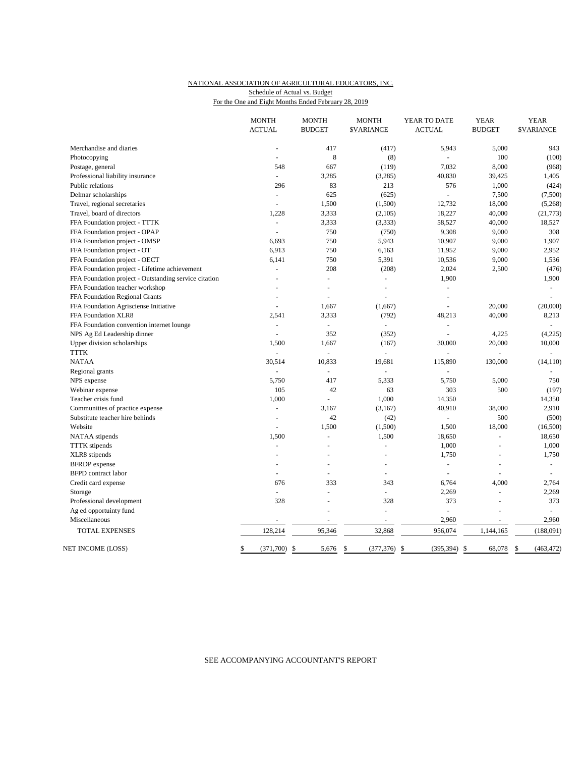#### NATIONAL ASSOCIATION OF AGRICULTURAL EDUCATORS, INC. For the One and Eight Months Ended February 28, 2019 Schedule of Actual vs. Budget

|                                                       | <b>MONTH</b><br><b>ACTUAL</b> | <b>MONTH</b><br><b>BUDGET</b> | <b>MONTH</b><br><b><i>SVARIANCE</i></b> | YEAR TO DATE<br><b>ACTUAL</b> | <b>YEAR</b><br><b>BUDGET</b> | <b>YEAR</b><br><b><i>SVARIANCE</i></b> |
|-------------------------------------------------------|-------------------------------|-------------------------------|-----------------------------------------|-------------------------------|------------------------------|----------------------------------------|
|                                                       |                               |                               |                                         |                               |                              |                                        |
| Merchandise and diaries                               |                               | 417                           | (417)                                   | 5,943                         | 5,000                        | 943                                    |
| Photocopying                                          |                               | 8                             | (8)                                     |                               | 100                          | (100)                                  |
| Postage, general                                      | 548                           | 667                           | (119)                                   | 7,032                         | 8,000                        | (968)                                  |
| Professional liability insurance                      | $\omega$                      | 3,285                         | (3,285)                                 | 40,830                        | 39,425                       | 1,405                                  |
| Public relations                                      | 296                           | 83                            | 213                                     | 576                           | 1,000                        | (424)                                  |
| Delmar scholarships                                   | ä,                            | 625                           | (625)                                   |                               | 7,500                        | (7,500)                                |
| Travel, regional secretaries                          | $\overline{a}$                | 1,500                         | (1,500)                                 | 12,732                        | 18,000                       | (5,268)                                |
| Travel, board of directors                            | 1,228                         | 3,333                         | (2,105)                                 | 18,227                        | 40,000                       | (21, 773)                              |
| FFA Foundation project - TTTK                         | $\overline{\phantom{a}}$      | 3,333                         | (3, 333)                                | 58,527                        | 40,000                       | 18,527                                 |
| FFA Foundation project - OPAP                         |                               | 750                           | (750)                                   | 9,308                         | 9,000                        | 308                                    |
| FFA Foundation project - OMSP                         | 6,693                         | 750                           | 5,943                                   | 10,907                        | 9,000                        | 1,907                                  |
| FFA Foundation project - OT                           | 6,913                         | 750                           | 6,163                                   | 11,952                        | 9,000                        | 2,952                                  |
| FFA Foundation project - OECT                         | 6,141                         | 750                           | 5,391                                   | 10,536                        | 9,000                        | 1,536                                  |
| FFA Foundation project - Lifetime achievement         | ÷,                            | 208                           | (208)                                   | 2,024                         | 2,500                        | (476)                                  |
| FFA Foundation project - Outstanding service citation |                               | L,                            | ÷,                                      | 1,900                         |                              | 1,900                                  |
| FFA Foundation teacher workshop                       |                               | L,                            | ÷,                                      | L.                            |                              | $\omega$                               |
| FFA Foundation Regional Grants                        | ÷.                            | L.                            |                                         | $\overline{a}$                |                              | $\overline{a}$                         |
| FFA Foundation Agrisciense Initiative                 | L,                            | 1,667                         | (1,667)                                 | ÷,                            | 20,000                       | (20,000)                               |
| FFA Foundation XLR8                                   | 2,541                         | 3,333                         | (792)                                   | 48,213                        | 40,000                       | 8,213                                  |
| FFA Foundation convention internet lounge             | ä,                            | ÷,                            | $\overline{a}$                          | L.                            |                              |                                        |
| NPS Ag Ed Leadership dinner                           | ÷,                            | 352                           | (352)                                   | $\bar{a}$                     | 4,225                        | (4,225)                                |
| Upper division scholarships                           | 1,500                         | 1,667                         | (167)                                   | 30,000                        | 20,000                       | 10,000                                 |
| <b>TTTK</b>                                           | L.                            | $\omega$                      | L.                                      | L.                            | $\overline{a}$               | $\omega$                               |
| <b>NATAA</b>                                          | 30,514                        | 10,833                        | 19,681                                  | 115,890                       | 130,000                      | (14, 110)                              |
| Regional grants                                       |                               | $\overline{a}$                |                                         |                               |                              |                                        |
| NPS expense                                           | 5,750                         | 417                           | 5,333                                   | 5,750                         | 5,000                        | 750                                    |
| Webinar expense                                       | 105                           | 42                            | 63                                      | 303                           | 500                          | (197)                                  |
| Teacher crisis fund                                   | 1,000                         | ÷,                            | 1,000                                   | 14,350                        |                              | 14,350                                 |
| Communities of practice expense                       | ÷,                            | 3,167                         | (3,167)                                 | 40,910                        | 38,000                       | 2,910                                  |
| Substitute teacher hire behinds                       | L,                            | 42                            | (42)                                    | $\overline{a}$                | 500                          | (500)                                  |
| Website                                               |                               | 1,500                         | (1,500)                                 | 1,500                         | 18,000                       | (16,500)                               |
| NATAA stipends                                        | 1,500                         | ÷,                            | 1,500                                   | 18,650                        | $\overline{a}$               | 18,650                                 |
| <b>TTTK</b> stipends                                  | L,                            |                               | ÷,                                      | 1,000                         | L,                           | 1,000                                  |
| XLR8 stipends                                         |                               |                               |                                         | 1,750                         |                              | 1,750                                  |
| <b>BFRDP</b> expense                                  |                               | ÷,                            | $\bar{a}$                               | $\Box$                        | L,                           | $\omega$                               |
| <b>BFPD</b> contract labor                            | ÷.                            | L.                            | $\overline{a}$                          | ÷.                            | L.                           | ÷.                                     |
| Credit card expense                                   | 676                           | 333                           | 343                                     | 6,764                         | 4,000                        | 2,764                                  |
| Storage                                               | L.                            | L.                            | $\overline{a}$                          | 2,269                         | $\overline{a}$               | 2,269                                  |
| Professional development                              | 328                           | ÷,                            | 328                                     | 373                           | L.                           | 373                                    |
| Ag ed opportuinty fund                                |                               | ÷,                            | ä,                                      |                               |                              |                                        |
| Miscellaneous                                         | ÷,                            | $\omega$                      | $\omega$                                | 2,960                         | $\sim$                       | 2,960                                  |
| <b>TOTAL EXPENSES</b>                                 | 128,214                       | 95,346                        | 32,868                                  | 956,074                       | 1,144,165                    | (188,091)                              |
| NET INCOME (LOSS)                                     | (371,700)<br>\$               | -\$<br>5,676                  | \$<br>(377, 376)                        | -\$<br>(395, 394)             | 68,078<br>\$                 | \$<br>(463, 472)                       |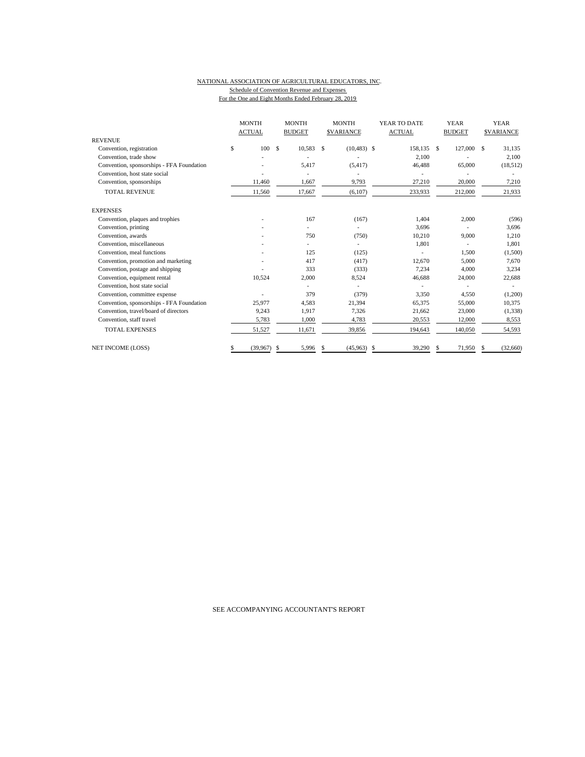#### NATIONAL ASSOCIATION OF AGRICULTURAL EDUCATORS, INC. Schedule of Convention Revenue and Expenses For the One and Eight Months Ended February 28, 2019

| <b>REVENUE</b>                            | <b>MONTH</b><br><b>ACTUAL</b> | <b>MONTH</b><br><b>MONTH</b><br>YEAR TO DATE<br><b>BUDGET</b><br><b>SVARIANCE</b><br><b>ACTUAL</b> |        | <b>YEAR</b><br><b>BUDGET</b> | <b>YEAR</b><br><b>SVARIANCE</b> |             |                |
|-------------------------------------------|-------------------------------|----------------------------------------------------------------------------------------------------|--------|------------------------------|---------------------------------|-------------|----------------|
|                                           | 100                           | $\mathcal{S}$                                                                                      |        |                              |                                 |             |                |
| Convention, registration                  | \$                            |                                                                                                    | 10,583 | $(10, 483)$ \$<br>£.         | 158,135 \$                      | 127,000     | 31,135<br>S    |
| Convention, trade show                    |                               |                                                                                                    |        |                              | 2,100                           |             | 2,100          |
| Convention, sponsorships - FFA Foundation |                               |                                                                                                    | 5.417  | (5, 417)                     | 46,488                          | 65,000      | (18, 512)      |
| Convention, host state social             |                               |                                                                                                    |        |                              |                                 |             |                |
| Convention, sponsorships                  | 11,460                        |                                                                                                    | 1,667  | 9,793                        | 27,210                          | 20,000      | 7,210          |
| <b>TOTAL REVENUE</b>                      | 11,560                        |                                                                                                    | 17,667 | (6,107)                      | 233,933                         | 212,000     | 21,933         |
| <b>EXPENSES</b>                           |                               |                                                                                                    |        |                              |                                 |             |                |
| Convention, plaques and trophies          |                               |                                                                                                    | 167    | (167)                        | 1.404                           | 2,000       | (596)          |
| Convention, printing                      |                               |                                                                                                    |        |                              | 3,696                           |             | 3,696          |
| Convention, awards                        |                               |                                                                                                    | 750    | (750)                        | 10,210                          | 9,000       | 1,210          |
| Convention, miscellaneous                 |                               |                                                                                                    |        | ٠                            | 1,801                           | ٠           | 1,801          |
| Convention, meal functions                |                               |                                                                                                    | 125    | (125)                        |                                 | 1,500       | (1,500)        |
| Convention, promotion and marketing       |                               |                                                                                                    | 417    | (417)                        | 12,670                          | 5,000       | 7,670          |
| Convention, postage and shipping          |                               |                                                                                                    | 333    | (333)                        | 7,234                           | 4,000       | 3,234          |
| Convention, equipment rental              | 10.524                        |                                                                                                    | 2,000  | 8,524                        | 46,688                          | 24,000      | 22,688         |
| Convention, host state social             |                               |                                                                                                    |        |                              |                                 |             |                |
| Convention, committee expense             |                               |                                                                                                    | 379    | (379)                        | 3,350                           | 4,550       | (1,200)        |
| Convention, sponsorships - FFA Foundation | 25,977                        |                                                                                                    | 4,583  | 21,394                       | 65,375                          | 55,000      | 10,375         |
| Convention, travel/board of directors     | 9,243                         |                                                                                                    | 1,917  | 7,326                        | 21,662                          | 23,000      | (1, 338)       |
| Convention, staff travel                  | 5,783                         |                                                                                                    | 1,000  | 4,783                        | 20,553                          | 12,000      | 8,553          |
| <b>TOTAL EXPENSES</b>                     | 51,527                        |                                                                                                    | 11,671 | 39,856                       | 194,643                         | 140,050     | 54,593         |
| <b>NET INCOME (LOSS)</b>                  | (39, 967)                     | \$                                                                                                 | 5,996  | (45,963)<br>S.               | \$<br>39,290                    | 71.950<br>S | (32,660)<br>\$ |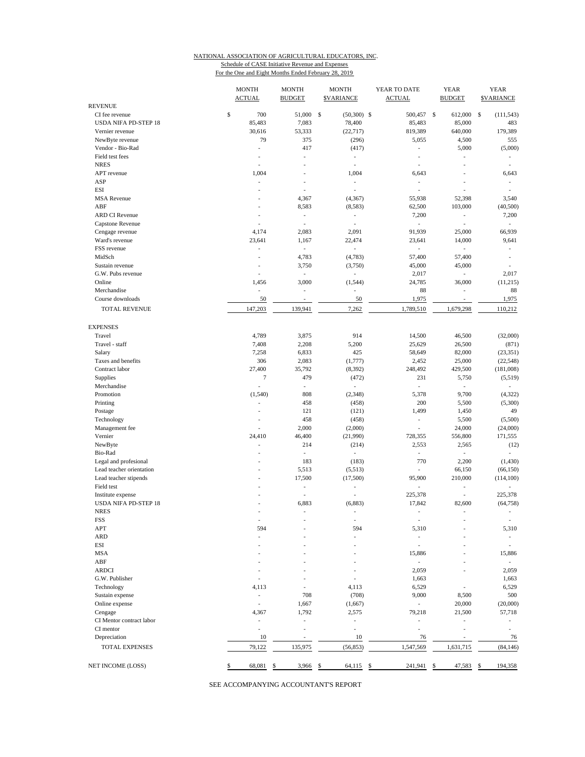# NATIONAL ASSOCIATION OF AGRICULTURAL EDUCATORS, INC. Schedule of CASE Initiative Revenue and Expenses

For the One and Eight Months Ended February 28, 2019

|                                                   | <b>MONTH</b><br><b>ACTUAL</b> | <b>MONTH</b><br><b>BUDGET</b> | <b>MONTH</b><br><b>\$VARIANCE</b> | YEAR TO DATE<br><b>ACTUAL</b> | <b>YEAR</b><br><b>BUDGET</b> | <b>YEAR</b><br><b>\$VARIANCE</b> |
|---------------------------------------------------|-------------------------------|-------------------------------|-----------------------------------|-------------------------------|------------------------------|----------------------------------|
| <b>REVENUE</b>                                    |                               |                               |                                   |                               |                              |                                  |
| CI fee revenue                                    | \$<br>700                     | 51,000 \$                     | $(50,300)$ \$                     | 500,457 \$                    | 612,000                      | - \$<br>(111, 543)               |
| <b>USDA NIFA PD-STEP 18</b>                       | 85,483                        | 7,083                         | 78,400                            | 85,483                        | 85,000                       | 483                              |
| Vernier revenue                                   | 30,616<br>79                  | 53,333                        | (22, 717)                         | 819,389                       | 640,000                      | 179,389                          |
| NewByte revenue                                   | ÷,                            | 375<br>417                    | (296)<br>(417)                    | 5,055<br>÷,                   | 4,500<br>5,000               | 555<br>(5,000)                   |
| Vendor - Bio-Rad<br>Field test fees               | ä,                            | ٠                             |                                   | ÷.                            | L,                           |                                  |
| <b>NRES</b>                                       | ä,                            | ÷,                            | $\overline{\phantom{a}}$<br>J.    | L,                            | ÷,                           |                                  |
| APT revenue                                       | 1,004                         |                               | 1,004                             | 6,643                         |                              | 6,643                            |
| ASP                                               | L,                            |                               | J.                                | ÷,                            | ٠                            |                                  |
| <b>ESI</b>                                        |                               | ä,                            | Ĭ.                                | i,                            | ÷,                           |                                  |
| <b>MSA</b> Revenue                                | ٠                             | 4,367                         | (4,367)                           | 55,938                        | 52,398                       | 3,540                            |
| ABF                                               | ä,                            | 8,583                         | (8,583)                           | 62,500                        | 103,000                      | (40, 500)                        |
| <b>ARD CI Revenue</b>                             | ٠                             | ٠                             | $\overline{\phantom{a}}$          | 7,200                         | $\overline{\phantom{a}}$     | 7,200                            |
| Capstone Revenue                                  | L,                            | i,                            | J.                                | ÷,                            | ÷,                           | $\overline{\phantom{a}}$         |
| Cengage revenue                                   | 4,174                         | 2,083                         | 2,091                             | 91,939                        | 25,000                       | 66,939                           |
| Ward's revenue                                    | 23,641                        | 1,167                         | 22,474                            | 23,641                        | 14,000                       | 9,641                            |
| FSS revenue                                       | ÷,                            | ä,                            | i,                                | $\overline{\phantom{a}}$      | $\frac{1}{2}$                |                                  |
| MidSch                                            | Ĭ.                            | 4,783                         | (4,783)                           | 57,400                        | 57,400                       | ÷,                               |
| Sustain revenue                                   | ٠                             | 3,750                         | (3,750)                           | 45,000                        | 45,000                       |                                  |
| G.W. Pubs revenue                                 |                               | $\overline{\phantom{a}}$      | ÷,                                | 2,017                         | $\overline{\phantom{a}}$     | 2,017                            |
| Online                                            | 1,456                         | 3,000                         | (1, 544)                          | 24,785                        | 36,000                       | (11,215)                         |
| Merchandise                                       | ÷,                            | $\overline{\phantom{a}}$      | Ĭ.                                | 88                            | $\overline{\phantom{a}}$     | 88                               |
| Course downloads                                  | 50                            | $\overline{\phantom{a}}$      | 50                                | 1,975                         | $\overline{\phantom{a}}$     | 1,975                            |
| <b>TOTAL REVENUE</b>                              | 147,203                       | 139,941                       | 7,262                             | 1,789,510                     | 1,679,298                    | 110,212                          |
|                                                   |                               |                               |                                   |                               |                              |                                  |
| <b>EXPENSES</b>                                   |                               |                               |                                   |                               |                              |                                  |
| Travel                                            | 4,789                         | 3,875                         | 914                               | 14,500                        | 46,500                       | (32,000)                         |
| Travel - staff                                    | 7,408                         | 2,208                         | 5,200                             | 25,629                        | 26,500                       | (871)                            |
| Salary                                            | 7,258                         | 6,833                         | 425                               | 58,649                        | 82,000                       | (23, 351)                        |
| Taxes and benefits                                | 306                           | 2,083                         | (1,777)                           | 2,452                         | 25,000                       | (22, 548)                        |
| Contract labor                                    | 27,400                        | 35,792                        | (8, 392)                          | 248,492                       | 429,500                      | (181,008)                        |
| Supplies                                          | $\tau$                        | 479                           | (472)                             | 231                           | 5,750                        | (5,519)                          |
| Merchandise                                       | $\overline{\phantom{a}}$      | ä,                            | $\overline{a}$                    | $\frac{1}{2}$                 | ä,                           |                                  |
| Promotion                                         | (1, 540)                      | 808                           | (2,348)                           | 5,378                         | 9,700                        | (4, 322)                         |
| Printing                                          | ä,                            | 458                           | (458)                             | 200                           | 5,500                        | (5,300)                          |
| Postage                                           | Ĭ.                            | 121                           | (121)                             | 1,499                         | 1,450                        | 49                               |
| Technology                                        |                               | 458                           | (458)                             | $\overline{\phantom{0}}$      | 5,500                        | (5,500)                          |
| Management fee                                    | Ĭ.                            | 2,000                         | (2,000)                           | L,                            | 24,000                       | (24,000)                         |
| Vernier<br>NewByte                                | 24,410<br>÷,                  | 46,400<br>214                 | (21,990)                          | 728,355<br>2,553              | 556,800                      | 171,555<br>(12)                  |
| Bio-Rad                                           | ä,                            | ÷,                            | (214)<br>$\overline{\phantom{a}}$ | $\overline{\phantom{a}}$      | 2,565<br>÷.                  | ÷.                               |
|                                                   |                               | 183                           | (183)                             | 770                           | 2,200                        | (1,430)                          |
| Legal and profesional<br>Lead teacher orientation |                               | 5,513                         | (5,513)                           | L,                            | 66,150                       | (66, 150)                        |
|                                                   |                               | 17,500                        | (17,500)                          | 95,900                        | 210,000                      | (114, 100)                       |
| Lead teacher stipends<br>Field test               |                               | $\overline{\phantom{a}}$      | ÷,                                | $\overline{\phantom{a}}$      | $\overline{\phantom{a}}$     | ÷                                |
| Institute expense                                 |                               |                               |                                   | 225,378                       | ÷,                           | 225,378                          |
| USDA NIFA PD-STEP 18                              |                               | 6,883                         | (6,883)                           | 17,842                        | 82,600                       | (64, 758)                        |
| <b>NRES</b>                                       |                               |                               |                                   |                               |                              |                                  |
| FSS                                               | $\overline{\phantom{a}}$      |                               | $\overline{\phantom{a}}$          | $\overline{\phantom{a}}$      |                              |                                  |
| APT                                               | 594                           |                               | 594                               | 5,310                         |                              | 5,310                            |
| <b>ARD</b>                                        |                               |                               |                                   | ٠                             |                              | ٠                                |
| ESI                                               |                               |                               |                                   | $\overline{\phantom{a}}$      |                              | $\overline{\phantom{a}}$         |
| <b>MSA</b>                                        |                               |                               |                                   | 15,886                        |                              | 15,886                           |
| ABF                                               |                               |                               |                                   | $\overline{\phantom{a}}$      |                              | $\overline{\phantom{a}}$         |
| <b>ARDCI</b>                                      |                               |                               |                                   | 2,059                         |                              | 2,059                            |
| G.W. Publisher                                    |                               |                               |                                   | 1,663                         |                              | 1,663                            |
| Technology                                        | 4,113                         |                               | 4,113                             | 6,529                         |                              | 6,529                            |
| Sustain expense                                   | $\overline{\phantom{a}}$      | 708                           | (708)                             | 9,000                         | 8,500                        | 500                              |
| Online expense                                    | L,                            | 1,667                         |                                   | ÷.                            | 20,000                       |                                  |
|                                                   | 4,367                         | 1,792                         | (1,667)<br>2,575                  | 79,218                        | 21,500                       | (20,000)<br>57,718               |
| Cengage<br>CI Mentor contract labor               | L,                            | ä,                            | Ĭ.                                | L,                            | L,                           |                                  |
| CI mentor                                         |                               |                               | Ĭ.                                |                               |                              |                                  |
| Depreciation                                      | 10                            |                               | 10                                | 76                            | $\overline{a}$               | 76                               |
| TOTAL EXPENSES                                    | 79,122                        | 135,975                       | (56, 853)                         | 1,547,569                     | 1,631,715                    | (84, 146)                        |
|                                                   | \$                            |                               |                                   |                               |                              |                                  |
| NET INCOME (LOSS)                                 | 68,081 \$                     | 3,966 \$                      | 64,115 \$                         | 241,941 \$                    | 47,583 \$                    | 194,358                          |